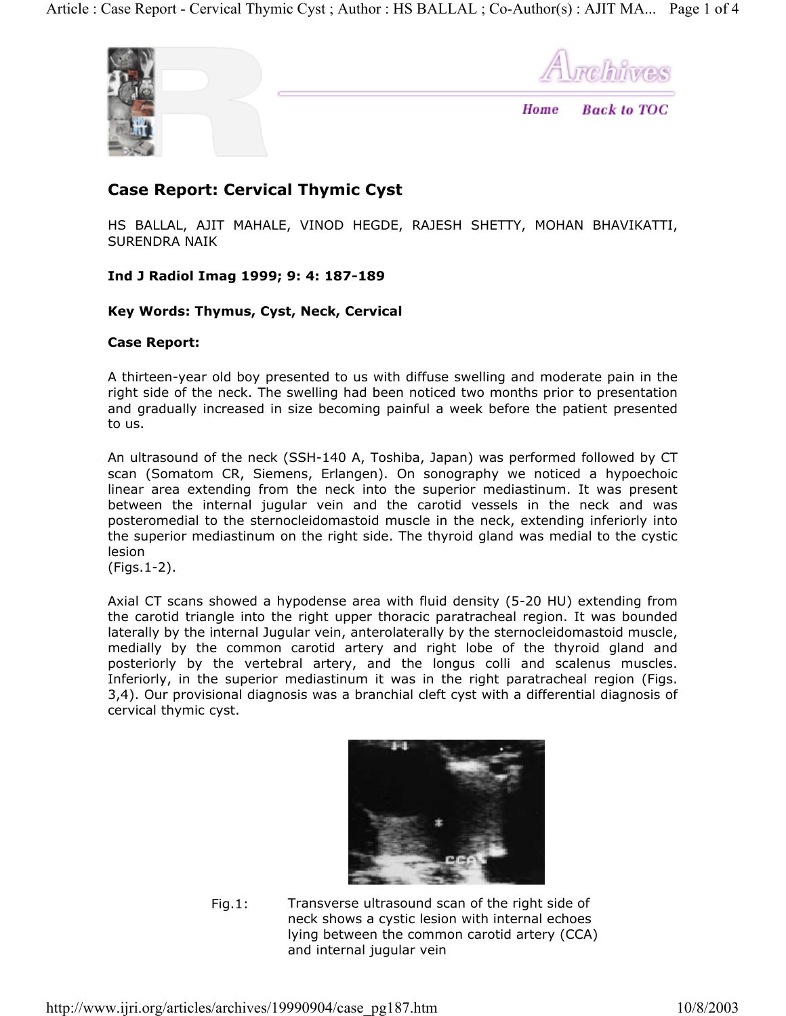

melhiwes

**Back to TOC** Home

# **Case Report: Cervical Thymic Cyst**

HS BALLAL, AJIT MAHALE, VINOD HEGDE, RAJESH SHETTY, MOHAN BHAVIKATTI, SURENDRA NAIK

## **Ind J Radiol Imag 1999; 9: 4: 187-189**

#### **Key Words: Thymus, Cyst, Neck, Cervical**

#### **Case Report:**

A thirteen-year old boy presented to us with diffuse swelling and moderate pain in the right side of the neck. The swelling had been noticed two months prior to presentation and gradually increased in size becoming painful a week before the patient presented to us.

An ultrasound of the neck (SSH-140 A, Toshiba, Japan) was performed followed by CT scan (Somatom CR, Siemens, Erlangen). On sonography we noticed a hypoechoic linear area extending from the neck into the superior mediastinum. It was present between the internal jugular vein and the carotid vessels in the neck and was posteromedial to the sternocleidomastoid muscle in the neck, extending inferiorly into the superior mediastinum on the right side. The thyroid gland was medial to the cystic lesion

(Figs.1-2).

Axial CT scans showed a hypodense area with fluid density (5-20 HU) extending from the carotid triangle into the right upper thoracic paratracheal region. It was bounded laterally by the internal Jugular vein, anterolaterally by the sternocleidomastoid muscle, medially by the common carotid artery and right lobe of the thyroid gland and posteriorly by the vertebral artery, and the longus colli and scalenus muscles. Inferiorly, in the superior mediastinum it was in the right paratracheal region (Figs. 3,4). Our provisional diagnosis was a branchial cleft cyst with a differential diagnosis of cervical thymic cyst.



Fig.1: Transverse ultrasound scan of the right side of neck shows a cystic lesion with internal echoes lying between the common carotid artery (CCA) and internal jugular vein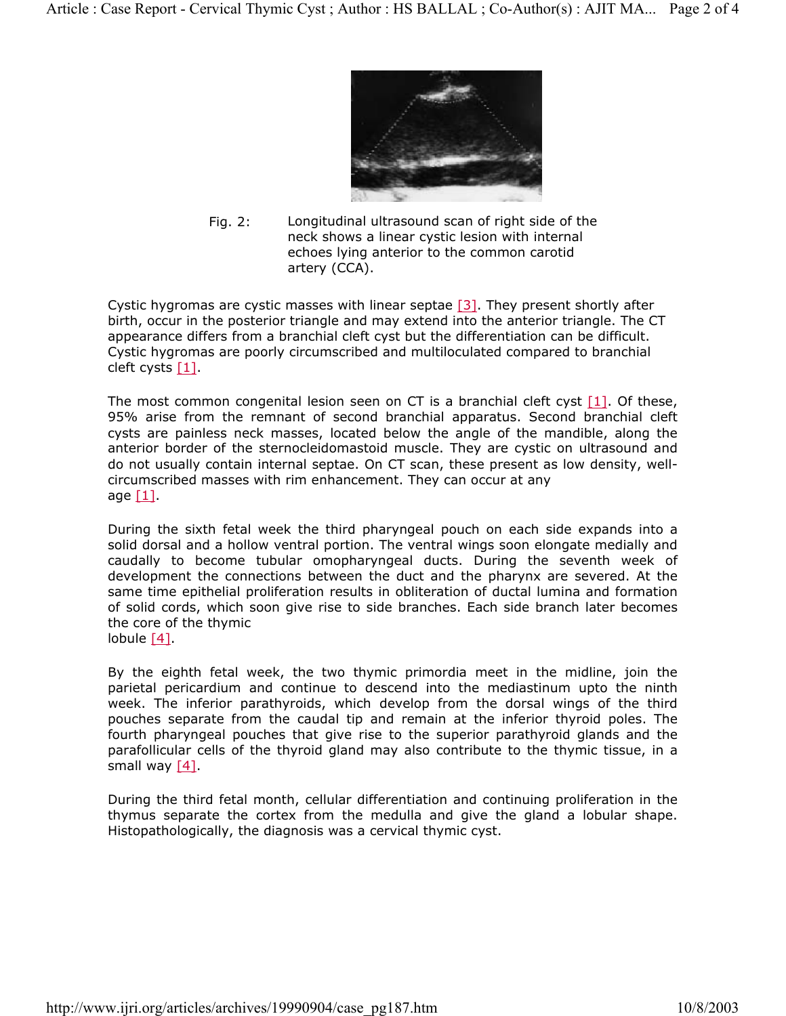

Fig. 2: Longitudinal ultrasound scan of right side of the neck shows a linear cystic lesion with internal echoes lying anterior to the common carotid artery (CCA).

Cystic hygromas are cystic masses with linear septae  $[3]$ . They present shortly after birth, occur in the posterior triangle and may extend into the anterior triangle. The CT appearance differs from a branchial cleft cyst but the differentiation can be difficult. Cystic hygromas are poorly circumscribed and multiloculated compared to branchial cleft cysts [1].

The most common congenital lesion seen on CT is a branchial cleft cyst  $[1]$ . Of these, 95% arise from the remnant of second branchial apparatus. Second branchial cleft cysts are painless neck masses, located below the angle of the mandible, along the anterior border of the sternocleidomastoid muscle. They are cystic on ultrasound and do not usually contain internal septae. On CT scan, these present as low density, wellcircumscribed masses with rim enhancement. They can occur at any age  $[1]$ .

During the sixth fetal week the third pharyngeal pouch on each side expands into a solid dorsal and a hollow ventral portion. The ventral wings soon elongate medially and caudally to become tubular omopharyngeal ducts. During the seventh week of development the connections between the duct and the pharynx are severed. At the same time epithelial proliferation results in obliteration of ductal lumina and formation of solid cords, which soon give rise to side branches. Each side branch later becomes the core of the thymic lobule [4].

By the eighth fetal week, the two thymic primordia meet in the midline, join the parietal pericardium and continue to descend into the mediastinum upto the ninth week. The inferior parathyroids, which develop from the dorsal wings of the third pouches separate from the caudal tip and remain at the inferior thyroid poles. The fourth pharyngeal pouches that give rise to the superior parathyroid glands and the parafollicular cells of the thyroid gland may also contribute to the thymic tissue, in a small way [4].

During the third fetal month, cellular differentiation and continuing proliferation in the thymus separate the cortex from the medulla and give the gland a lobular shape. Histopathologically, the diagnosis was a cervical thymic cyst.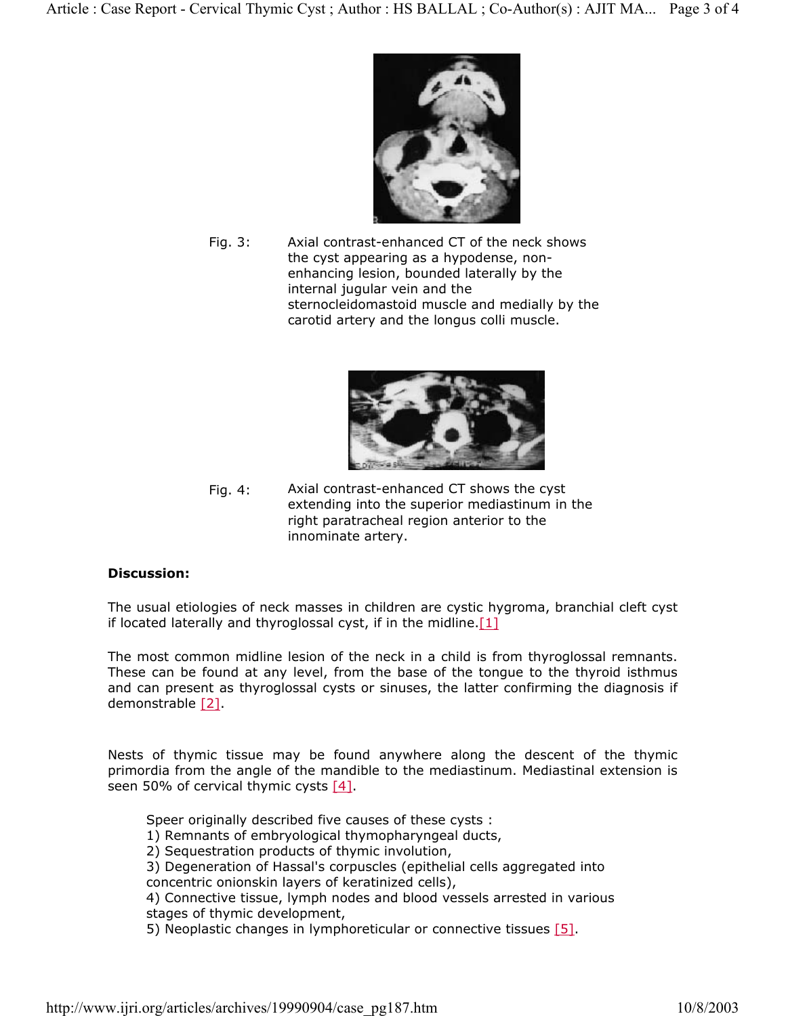

Fig. 3: Axial contrast-enhanced CT of the neck shows the cyst appearing as a hypodense, nonenhancing lesion, bounded laterally by the internal jugular vein and the sternocleidomastoid muscle and medially by the carotid artery and the longus colli muscle.



Fig. 4: Axial contrast-enhanced CT shows the cyst extending into the superior mediastinum in the right paratracheal region anterior to the innominate artery.

#### **Discussion:**

The usual etiologies of neck masses in children are cystic hygroma, branchial cleft cyst if located laterally and thyroglossal cyst, if in the midline.  $[1]$ 

The most common midline lesion of the neck in a child is from thyroglossal remnants. These can be found at any level, from the base of the tongue to the thyroid isthmus and can present as thyroglossal cysts or sinuses, the latter confirming the diagnosis if demonstrable [2].

Nests of thymic tissue may be found anywhere along the descent of the thymic primordia from the angle of the mandible to the mediastinum. Mediastinal extension is seen 50% of cervical thymic cysts [4].

Speer originally described five causes of these cysts :

1) Remnants of embryological thymopharyngeal ducts,

2) Sequestration products of thymic involution,

3) Degeneration of Hassal's corpuscles (epithelial cells aggregated into

concentric onionskin layers of keratinized cells),

4) Connective tissue, lymph nodes and blood vessels arrested in various stages of thymic development,

5) Neoplastic changes in lymphoreticular or connective tissues [5].